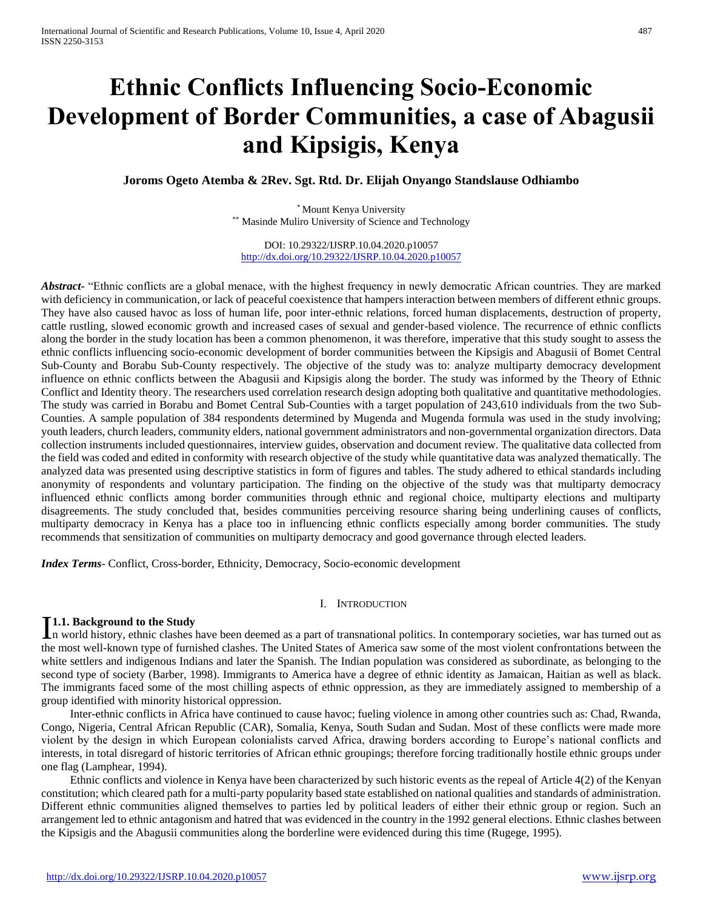# **Ethnic Conflicts Influencing Socio-Economic Development of Border Communities, a case of Abagusii and Kipsigis, Kenya**

**Joroms Ogeto Atemba & 2Rev. Sgt. Rtd. Dr. Elijah Onyango Standslause Odhiambo** 

\* Mount Kenya University \*\* Masinde Muliro University of Science and Technology

DOI: 10.29322/IJSRP.10.04.2020.p10057 <http://dx.doi.org/10.29322/IJSRP.10.04.2020.p10057>

*Abstract***-** "Ethnic conflicts are a global menace, with the highest frequency in newly democratic African countries. They are marked with deficiency in communication, or lack of peaceful coexistence that hampers interaction between members of different ethnic groups. They have also caused havoc as loss of human life, poor inter-ethnic relations, forced human displacements, destruction of property, cattle rustling, slowed economic growth and increased cases of sexual and gender-based violence. The recurrence of ethnic conflicts along the border in the study location has been a common phenomenon, it was therefore, imperative that this study sought to assess the ethnic conflicts influencing socio-economic development of border communities between the Kipsigis and Abagusii of Bomet Central Sub-County and Borabu Sub-County respectively. The objective of the study was to: analyze multiparty democracy development influence on ethnic conflicts between the Abagusii and Kipsigis along the border. The study was informed by the Theory of Ethnic Conflict and Identity theory. The researchers used correlation research design adopting both qualitative and quantitative methodologies. The study was carried in Borabu and Bomet Central Sub-Counties with a target population of 243,610 individuals from the two Sub-Counties. A sample population of 384 respondents determined by Mugenda and Mugenda formula was used in the study involving; youth leaders, church leaders, community elders, national government administrators and non-governmental organization directors. Data collection instruments included questionnaires, interview guides, observation and document review. The qualitative data collected from the field was coded and edited in conformity with research objective of the study while quantitative data was analyzed thematically. The analyzed data was presented using descriptive statistics in form of figures and tables. The study adhered to ethical standards including anonymity of respondents and voluntary participation. The finding on the objective of the study was that multiparty democracy influenced ethnic conflicts among border communities through ethnic and regional choice, multiparty elections and multiparty disagreements. The study concluded that, besides communities perceiving resource sharing being underlining causes of conflicts, multiparty democracy in Kenya has a place too in influencing ethnic conflicts especially among border communities. The study recommends that sensitization of communities on multiparty democracy and good governance through elected leaders.

*Index Terms*- Conflict, Cross-border, Ethnicity, Democracy, Socio-economic development

#### I. INTRODUCTION

# **1.1. Background to the Study**

**1.1. Background to the Study**<br>In world history, ethnic clashes have been deemed as a part of transnational politics. In contemporary societies, war has turned out as the most well-known type of furnished clashes. The United States of America saw some of the most violent confrontations between the white settlers and indigenous Indians and later the Spanish. The Indian population was considered as subordinate, as belonging to the second type of society (Barber, 1998). Immigrants to America have a degree of ethnic identity as Jamaican, Haitian as well as black. The immigrants faced some of the most chilling aspects of ethnic oppression, as they are immediately assigned to membership of a group identified with minority historical oppression.

 Inter-ethnic conflicts in Africa have continued to cause havoc; fueling violence in among other countries such as: Chad, Rwanda, Congo, Nigeria, Central African Republic (CAR), Somalia, Kenya, South Sudan and Sudan. Most of these conflicts were made more violent by the design in which European colonialists carved Africa, drawing borders according to Europe's national conflicts and interests, in total disregard of historic territories of African ethnic groupings; therefore forcing traditionally hostile ethnic groups under one flag (Lamphear, 1994).

 Ethnic conflicts and violence in Kenya have been characterized by such historic events as the repeal of Article 4(2) of the Kenyan constitution; which cleared path for a multi-party popularity based state established on national qualities and standards of administration. Different ethnic communities aligned themselves to parties led by political leaders of either their ethnic group or region. Such an arrangement led to ethnic antagonism and hatred that was evidenced in the country in the 1992 general elections. Ethnic clashes between the Kipsigis and the Abagusii communities along the borderline were evidenced during this time (Rugege, 1995).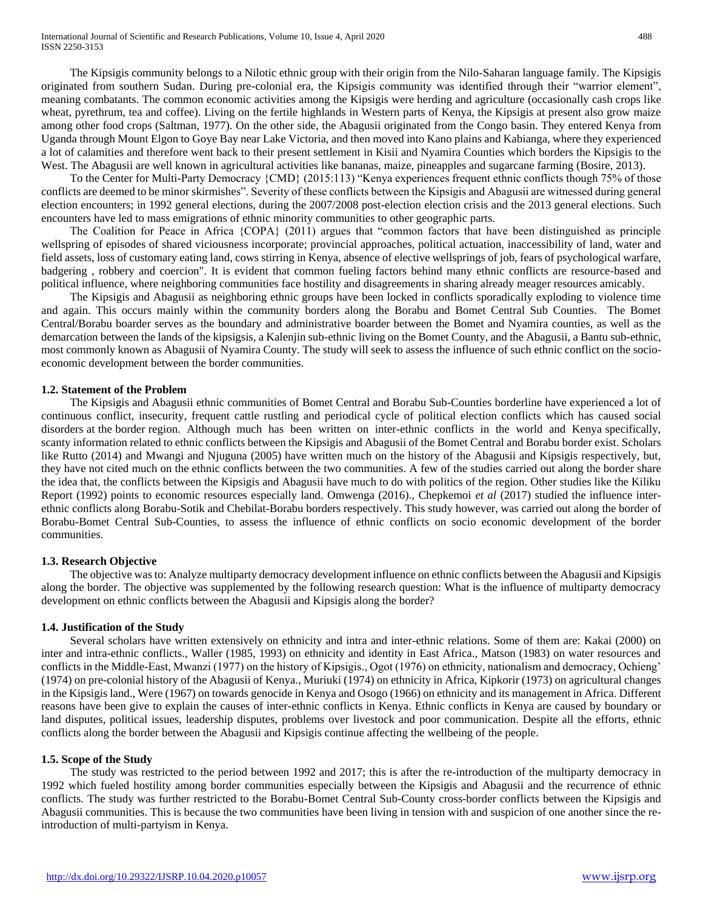The Kipsigis community belongs to a Nilotic ethnic group with their origin from the Nilo-Saharan language family. The Kipsigis originated from southern Sudan. During pre-colonial era, the Kipsigis community was identified through their "warrior element", meaning combatants. The common economic activities among the Kipsigis were herding and agriculture (occasionally cash crops like wheat, pyrethrum, tea and coffee). Living on the fertile highlands in Western parts of Kenya, the Kipsigis at present also grow maize among other food crops (Saltman, 1977). On the other side, the Abagusii originated from the Congo basin. They entered Kenya from Uganda through Mount Elgon to Goye Bay near Lake Victoria, and then moved into Kano plains and Kabianga, where they experienced a lot of calamities and therefore went back to their present settlement in Kisii and Nyamira Counties which borders the Kipsigis to the West. The Abagusii are well known in agricultural activities like bananas, maize, pineapples and sugarcane farming (Bosire, 2013).

 To the Center for Multi-Party Democracy {CMD} (2015:113) "Kenya experiences frequent ethnic conflicts though 75% of those conflicts are deemed to be minor skirmishes". Severity of these conflicts between the Kipsigis and Abagusii are witnessed during general election encounters; in 1992 general elections, during the 2007/2008 post-election election crisis and the 2013 general elections. Such encounters have led to mass emigrations of ethnic minority communities to other geographic parts.

 The Coalition for Peace in Africa {COPA} (2011) argues that "common factors that have been distinguished as principle wellspring of episodes of shared viciousness incorporate; provincial approaches, political actuation, inaccessibility of land, water and field assets, loss of customary eating land, cows stirring in Kenya, absence of elective wellsprings of job, fears of psychological warfare, badgering , robbery and coercion". It is evident that common fueling factors behind many ethnic conflicts are resource-based and political influence, where neighboring communities face hostility and disagreements in sharing already meager resources amicably.

 The Kipsigis and Abagusii as neighboring ethnic groups have been locked in conflicts sporadically exploding to violence time and again. This occurs mainly within the community borders along the Borabu and Bomet Central Sub Counties. The Bomet Central/Borabu boarder serves as the boundary and administrative boarder between the Bomet and Nyamira counties, as well as the demarcation between the lands of the kipsigsis, a Kalenjin sub-ethnic living on the Bomet County, and the Abagusii, a Bantu sub-ethnic, most commonly known as Abagusii of Nyamira County. The study will seek to assess the influence of such ethnic conflict on the socioeconomic development between the border communities.

## **1.2. Statement of the Problem**

 The Kipsigis and Abagusii ethnic communities of Bomet Central and Borabu Sub-Counties borderline have experienced a lot of continuous conflict, insecurity, frequent cattle rustling and periodical cycle of political election conflicts which has caused social disorders at the border region. Although much has been written on inter-ethnic conflicts in the world and Kenya specifically, scanty information related to ethnic conflicts between the Kipsigis and Abagusii of the Bomet Central and Borabu border exist. Scholars like Rutto (2014) and Mwangi and Njuguna (2005) have written much on the history of the Abagusii and Kipsigis respectively, but, they have not cited much on the ethnic conflicts between the two communities. A few of the studies carried out along the border share the idea that, the conflicts between the Kipsigis and Abagusii have much to do with politics of the region. Other studies like the Kiliku Report (1992) points to economic resources especially land. Omwenga (2016)., Chepkemoi *et al* (2017) studied the influence interethnic conflicts along Borabu-Sotik and Chebilat-Borabu borders respectively. This study however, was carried out along the border of Borabu-Bomet Central Sub-Counties, to assess the influence of ethnic conflicts on socio economic development of the border communities.

# **1.3. Research Objective**

 The objective was to: Analyze multiparty democracy development influence on ethnic conflicts between the Abagusii and Kipsigis along the border. The objective was supplemented by the following research question: What is the influence of multiparty democracy development on ethnic conflicts between the Abagusii and Kipsigis along the border?

# **1.4. Justification of the Study**

 Several scholars have written extensively on ethnicity and intra and inter-ethnic relations. Some of them are: Kakai (2000) on inter and intra-ethnic conflicts., Waller (1985, 1993) on ethnicity and identity in East Africa., Matson (1983) on water resources and conflicts in the Middle-East, Mwanzi (1977) on the history of Kipsigis., Ogot (1976) on ethnicity, nationalism and democracy, Ochieng' (1974) on pre-colonial history of the Abagusii of Kenya., Muriuki (1974) on ethnicity in Africa, Kipkorir (1973) on agricultural changes in the Kipsigis land., Were (1967) on towards genocide in Kenya and Osogo (1966) on ethnicity and its management in Africa. Different reasons have been give to explain the causes of inter-ethnic conflicts in Kenya. Ethnic conflicts in Kenya are caused by boundary or land disputes, political issues, leadership disputes, problems over livestock and poor communication. Despite all the efforts, ethnic conflicts along the border between the Abagusii and Kipsigis continue affecting the wellbeing of the people.

#### **1.5. Scope of the Study**

 The study was restricted to the period between 1992 and 2017; this is after the re-introduction of the multiparty democracy in 1992 which fueled hostility among border communities especially between the Kipsigis and Abagusii and the recurrence of ethnic conflicts. The study was further restricted to the Borabu-Bomet Central Sub-County cross-border conflicts between the Kipsigis and Abagusii communities. This is because the two communities have been living in tension with and suspicion of one another since the reintroduction of multi-partyism in Kenya.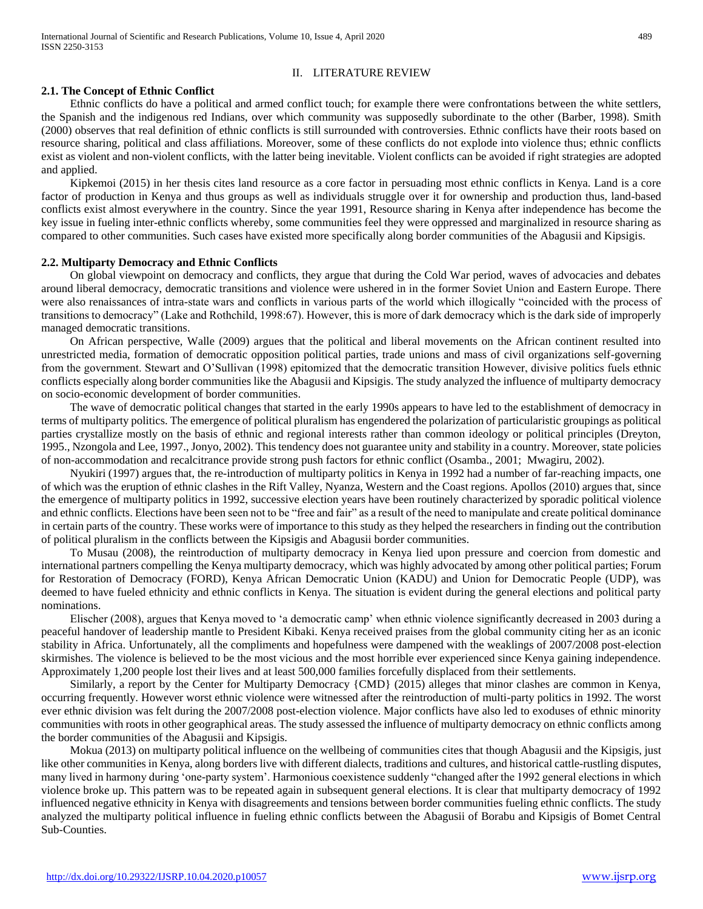# II. LITERATURE REVIEW

## **2.1. The Concept of Ethnic Conflict**

 Ethnic conflicts do have a political and armed conflict touch; for example there were confrontations between the white settlers, the Spanish and the indigenous red Indians, over which community was supposedly subordinate to the other (Barber, 1998). Smith (2000) observes that real definition of ethnic conflicts is still surrounded with controversies. Ethnic conflicts have their roots based on resource sharing, political and class affiliations. Moreover, some of these conflicts do not explode into violence thus; ethnic conflicts exist as violent and non-violent conflicts, with the latter being inevitable. Violent conflicts can be avoided if right strategies are adopted and applied.

 Kipkemoi (2015) in her thesis cites land resource as a core factor in persuading most ethnic conflicts in Kenya. Land is a core factor of production in Kenya and thus groups as well as individuals struggle over it for ownership and production thus, land-based conflicts exist almost everywhere in the country. Since the year 1991, Resource sharing in Kenya after independence has become the key issue in fueling inter-ethnic conflicts whereby, some communities feel they were oppressed and marginalized in resource sharing as compared to other communities. Such cases have existed more specifically along border communities of the Abagusii and Kipsigis.

#### **2.2. Multiparty Democracy and Ethnic Conflicts**

 On global viewpoint on democracy and conflicts, they argue that during the Cold War period, waves of advocacies and debates around liberal democracy, democratic transitions and violence were ushered in in the former Soviet Union and Eastern Europe. There were also renaissances of intra-state wars and conflicts in various parts of the world which illogically "coincided with the process of transitions to democracy" (Lake and Rothchild, 1998:67). However, this is more of dark democracy which is the dark side of improperly managed democratic transitions.

 On African perspective, Walle (2009) argues that the political and liberal movements on the African continent resulted into unrestricted media, formation of democratic opposition political parties, trade unions and mass of civil organizations self-governing from the government. Stewart and O'Sullivan (1998) epitomized that the democratic transition However, divisive politics fuels ethnic conflicts especially along border communities like the Abagusii and Kipsigis. The study analyzed the influence of multiparty democracy on socio-economic development of border communities.

 The wave of democratic political changes that started in the early 1990s appears to have led to the establishment of democracy in terms of multiparty politics. The emergence of political pluralism has engendered the polarization of particularistic groupings as political parties crystallize mostly on the basis of ethnic and regional interests rather than common ideology or political principles (Dreyton, 1995., Nzongola and Lee, 1997., Jonyo, 2002). This tendency does not guarantee unity and stability in a country. Moreover, state policies of non-accommodation and recalcitrance provide strong push factors for ethnic conflict (Osamba., 2001; Mwagiru, 2002).

 Nyukiri (1997) argues that, the re-introduction of multiparty politics in Kenya in 1992 had a number of far-reaching impacts, one of which was the eruption of ethnic clashes in the Rift Valley, Nyanza, Western and the Coast regions. Apollos (2010) argues that, since the emergence of multiparty politics in 1992, successive election years have been routinely characterized by sporadic political violence and ethnic conflicts. Elections have been seen not to be "free and fair" as a result of the need to manipulate and create political dominance in certain parts of the country. These works were of importance to this study as they helped the researchers in finding out the contribution of political pluralism in the conflicts between the Kipsigis and Abagusii border communities.

 To Musau (2008), the reintroduction of multiparty democracy in Kenya lied upon pressure and coercion from domestic and international partners compelling the Kenya multiparty democracy, which was highly advocated by among other political parties; Forum for Restoration of Democracy (FORD), Kenya African Democratic Union (KADU) and Union for Democratic People (UDP), was deemed to have fueled ethnicity and ethnic conflicts in Kenya. The situation is evident during the general elections and political party nominations.

 Elischer (2008), argues that Kenya moved to 'a democratic camp' when ethnic violence significantly decreased in 2003 during a peaceful handover of leadership mantle to President Kibaki. Kenya received praises from the global community citing her as an iconic stability in Africa. Unfortunately, all the compliments and hopefulness were dampened with the weaklings of 2007/2008 post-election skirmishes. The violence is believed to be the most vicious and the most horrible ever experienced since Kenya gaining independence. Approximately 1,200 people lost their lives and at least 500,000 families forcefully displaced from their settlements.

 Similarly, a report by the Center for Multiparty Democracy {CMD} (2015) alleges that minor clashes are common in Kenya, occurring frequently. However worst ethnic violence were witnessed after the reintroduction of multi-party politics in 1992. The worst ever ethnic division was felt during the 2007/2008 post-election violence. Major conflicts have also led to exoduses of ethnic minority communities with roots in other geographical areas. The study assessed the influence of multiparty democracy on ethnic conflicts among the border communities of the Abagusii and Kipsigis.

 Mokua (2013) on multiparty political influence on the wellbeing of communities cites that though Abagusii and the Kipsigis, just like other communities in Kenya, along borders live with different dialects, traditions and cultures, and historical cattle-rustling disputes, many lived in harmony during 'one-party system'. Harmonious coexistence suddenly "changed after the 1992 general elections in which violence broke up. This pattern was to be repeated again in subsequent general elections. It is clear that multiparty democracy of 1992 influenced negative ethnicity in Kenya with disagreements and tensions between border communities fueling ethnic conflicts. The study analyzed the multiparty political influence in fueling ethnic conflicts between the Abagusii of Borabu and Kipsigis of Bomet Central Sub-Counties.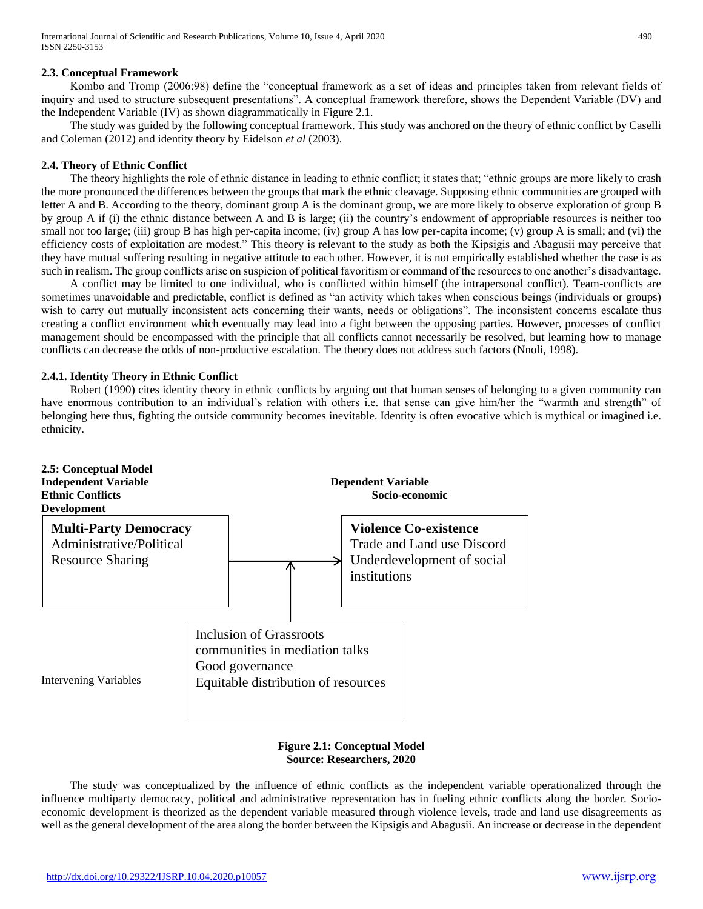# **2.3. Conceptual Framework**

 Kombo and Tromp (2006:98) define the "conceptual framework as a set of ideas and principles taken from relevant fields of inquiry and used to structure subsequent presentations". A conceptual framework therefore, shows the Dependent Variable (DV) and the Independent Variable (IV) as shown diagrammatically in Figure 2.1.

 The study was guided by the following conceptual framework. This study was anchored on the theory of ethnic conflict by Caselli and Coleman (2012) and identity theory by Eidelson *et al* (2003).

#### **2.4. Theory of Ethnic Conflict**

 The theory highlights the role of ethnic distance in leading to ethnic conflict; it states that; "ethnic groups are more likely to crash the more pronounced the differences between the groups that mark the ethnic cleavage. Supposing ethnic communities are grouped with letter A and B. According to the theory, dominant group A is the dominant group, we are more likely to observe exploration of group B by group A if (i) the ethnic distance between A and B is large; (ii) the country's endowment of appropriable resources is neither too small nor too large; (iii) group B has high per-capita income; (iv) group A has low per-capita income; (v) group A is small; and (vi) the efficiency costs of exploitation are modest." This theory is relevant to the study as both the Kipsigis and Abagusii may perceive that they have mutual suffering resulting in negative attitude to each other. However, it is not empirically established whether the case is as such in realism. The group conflicts arise on suspicion of political favoritism or command of the resources to one another's disadvantage.

 A conflict may be limited to one individual, who is conflicted within himself (the intrapersonal conflict). Team-conflicts are sometimes unavoidable and predictable, conflict is defined as "an activity which takes when conscious beings (individuals or groups) wish to carry out mutually inconsistent acts concerning their wants, needs or obligations". The inconsistent concerns escalate thus creating a conflict environment which eventually may lead into a fight between the opposing parties. However, processes of conflict management should be encompassed with the principle that all conflicts cannot necessarily be resolved, but learning how to manage conflicts can decrease the odds of non-productive escalation. The theory does not address such factors (Nnoli, 1998).

## **2.4.1. Identity Theory in Ethnic Conflict**

 Robert (1990) cites identity theory in ethnic conflicts by arguing out that human senses of belonging to a given community can have enormous contribution to an individual's relation with others i.e. that sense can give him/her the "warmth and strength" of belonging here thus, fighting the outside community becomes inevitable. Identity is often evocative which is mythical or imagined i.e. ethnicity.



# **Figure 2.1: Conceptual Model Source: Researchers, 2020**

 The study was conceptualized by the influence of ethnic conflicts as the independent variable operationalized through the influence multiparty democracy, political and administrative representation has in fueling ethnic conflicts along the border. Socioeconomic development is theorized as the dependent variable measured through violence levels, trade and land use disagreements as well as the general development of the area along the border between the Kipsigis and Abagusii. An increase or decrease in the dependent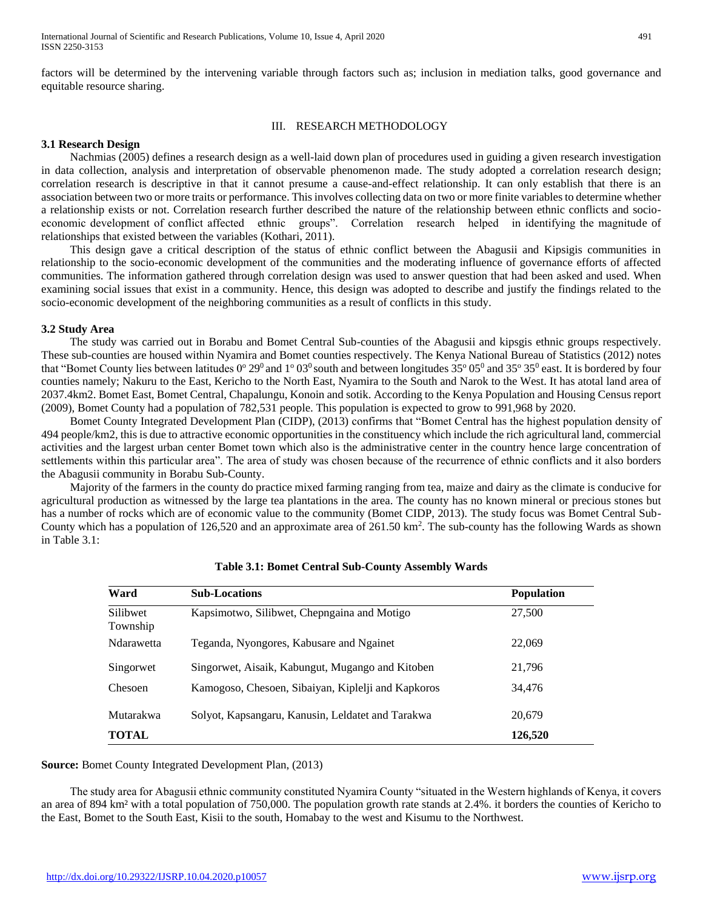factors will be determined by the intervening variable through factors such as; inclusion in mediation talks, good governance and equitable resource sharing.

#### III. RESEARCH METHODOLOGY

#### **3.1 Research Design**

 Nachmias (2005) defines a research design as a well-laid down plan of procedures used in guiding a given research investigation in data collection, analysis and interpretation of observable phenomenon made. The study adopted a correlation research design; correlation research is descriptive in that it cannot presume a cause-and-effect relationship. It can only establish that there is an association between two or more traits or performance. This involves collecting data on two or more finite variables to determine whether a relationship exists or not. Correlation research further described the nature of the relationship between ethnic conflicts and socioeconomic development of conflict affected ethnic groups". Correlation research helped in identifying the magnitude of relationships that existed between the variables (Kothari, 2011).

 This design gave a critical description of the status of ethnic conflict between the Abagusii and Kipsigis communities in relationship to the socio-economic development of the communities and the moderating influence of governance efforts of affected communities. The information gathered through correlation design was used to answer question that had been asked and used. When examining social issues that exist in a community. Hence, this design was adopted to describe and justify the findings related to the socio-economic development of the neighboring communities as a result of conflicts in this study.

#### **3.2 Study Area**

 The study was carried out in Borabu and Bomet Central Sub-counties of the Abagusii and kipsgis ethnic groups respectively. These sub-counties are housed within Nyamira and Bomet counties respectively. The Kenya National Bureau of Statistics (2012) notes that "Bomet County lies between latitudes  $0^{\circ} 29^{\circ}$  and  $1^{\circ} 03^{\circ}$  south and between longitudes 35 $^{\circ} 05^{\circ}$  and 35 $^{\circ} 35^{\circ}$  east. It is bordered by four counties namely; Nakuru to the East, Kericho to the North East, Nyamira to the South and Narok to the West. It has atotal land area of 2037.4km2. Bomet East, Bomet Central, Chapalungu, Konoin and sotik. According to the Kenya Population and Housing Census report (2009), Bomet County had a population of 782,531 people. This population is expected to grow to 991,968 by 2020.

 Bomet County Integrated Development Plan (CIDP), (2013) confirms that "Bomet Central has the highest population density of 494 people/km2, this is due to attractive economic opportunities in the constituency which include the rich agricultural land, commercial activities and the largest urban center Bomet town which also is the administrative center in the country hence large concentration of settlements within this particular area". The area of study was chosen because of the recurrence of ethnic conflicts and it also borders the Abagusii community in Borabu Sub-County.

 Majority of the farmers in the county do practice mixed farming ranging from tea, maize and dairy as the climate is conducive for agricultural production as witnessed by the large tea plantations in the area. The county has no known mineral or precious stones but has a number of rocks which are of economic value to the community (Bomet CIDP, 2013). The study focus was Bomet Central Sub-County which has a population of 126,520 and an approximate area of  $261.50 \text{ km}^2$ . The sub-county has the following Wards as shown in Table 3.1:

| Ward                 | <b>Sub-Locations</b>                               | <b>Population</b> |  |
|----------------------|----------------------------------------------------|-------------------|--|
| Silibwet<br>Township | Kapsimotwo, Silibwet, Chepngaina and Motigo        | 27,500            |  |
| Ndarawetta           | Teganda, Nyongores, Kabusare and Ngainet           | 22,069            |  |
| Singorwet            | Singorwet, Aisaik, Kabungut, Mugango and Kitoben   | 21,796            |  |
| Chesoen              | Kamogoso, Chesoen, Sibaiyan, Kiplelji and Kapkoros | 34,476            |  |
| Mutarakwa            | Solyot, Kapsangaru, Kanusin, Leldatet and Tarakwa  | 20,679            |  |
| <b>TOTAL</b>         |                                                    | 126,520           |  |

#### **Table 3.1: Bomet Central Sub-County Assembly Wards**

**Source:** Bomet County Integrated Development Plan, (2013)

 The study area for Abagusii ethnic community constituted Nyamira County "situated in the Western highlands of Kenya, it covers an area of 894 km² with a total population of 750,000. The population growth rate stands at 2.4%. it borders the counties of Kericho to the East, Bomet to the South East, Kisii to the south, Homabay to the west and Kisumu to the Northwest.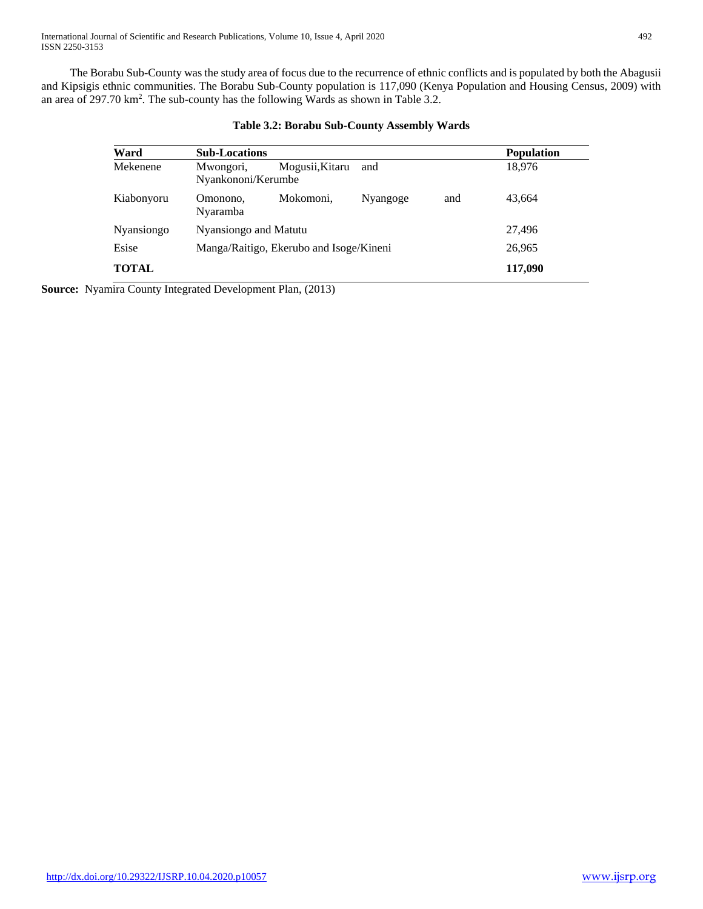The Borabu Sub-County was the study area of focus due to the recurrence of ethnic conflicts and is populated by both the Abagusii and Kipsigis ethnic communities. The Borabu Sub-County population is 117,090 (Kenya Population and Housing Census, 2009) with an area of 297.70 km<sup>2</sup>. The sub-county has the following Wards as shown in Table 3.2.

| Ward         | <b>Sub-Locations</b>                    |                 |          |        | <b>Population</b> |
|--------------|-----------------------------------------|-----------------|----------|--------|-------------------|
| Mekenene     | Mwongori,<br>Nyankononi/Kerumbe         | Mogusii, Kitaru | and      | 18,976 |                   |
| Kiabonyoru   | Omonono,<br>Nyaramba                    | Mokomoni,       | Nyangoge | and    | 43,664            |
| Nyansiongo   | Nyansiongo and Matutu                   |                 |          |        | 27,496            |
| Esise        | Manga/Raitigo, Ekerubo and Isoge/Kineni |                 |          |        | 26,965            |
| <b>TOTAL</b> |                                         |                 |          |        | 117,090           |

# **Table 3.2: Borabu Sub-County Assembly Wards**

**Source:** Nyamira County Integrated Development Plan, (2013)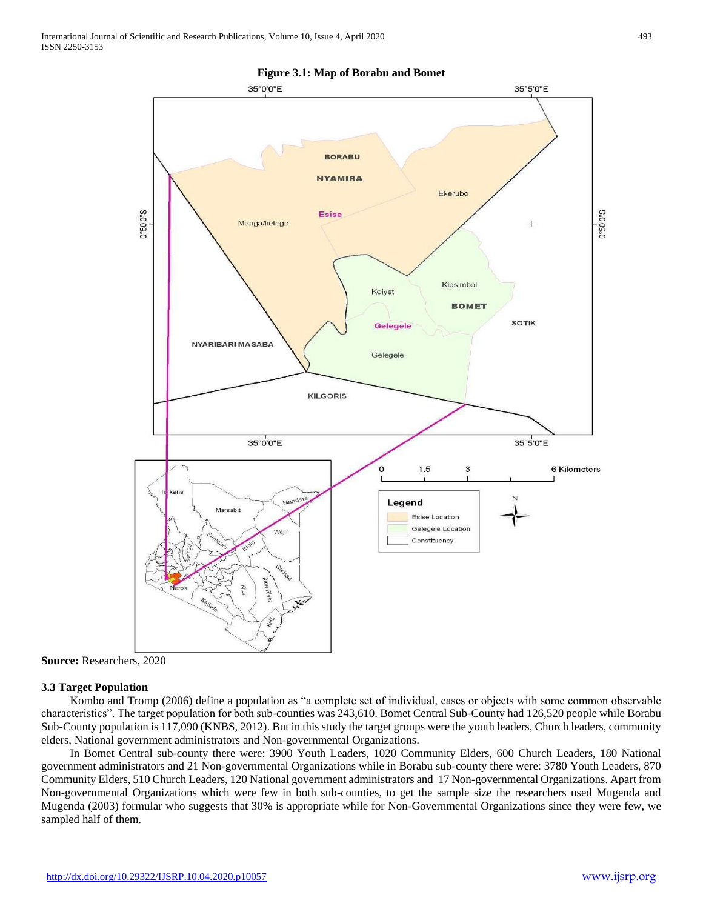

**Figure 3.1: Map of Borabu and Bomet** 

**Source:** Researchers, 2020

#### **3.3 Target Population**

 Kombo and Tromp (2006) define a population as "a complete set of individual, cases or objects with some common observable characteristics". The target population for both sub-counties was 243,610. Bomet Central Sub-County had 126,520 people while Borabu Sub-County population is 117,090 (KNBS, 2012). But in this study the target groups were the youth leaders, Church leaders, community elders, National government administrators and Non-governmental Organizations.

 In Bomet Central sub-county there were: 3900 Youth Leaders, 1020 Community Elders, 600 Church Leaders, 180 National government administrators and 21 Non-governmental Organizations while in Borabu sub-county there were: 3780 Youth Leaders, 870 Community Elders, 510 Church Leaders, 120 National government administrators and 17 Non-governmental Organizations. Apart from Non-governmental Organizations which were few in both sub-counties, to get the sample size the researchers used Mugenda and Mugenda (2003) formular who suggests that 30% is appropriate while for Non-Governmental Organizations since they were few, we sampled half of them.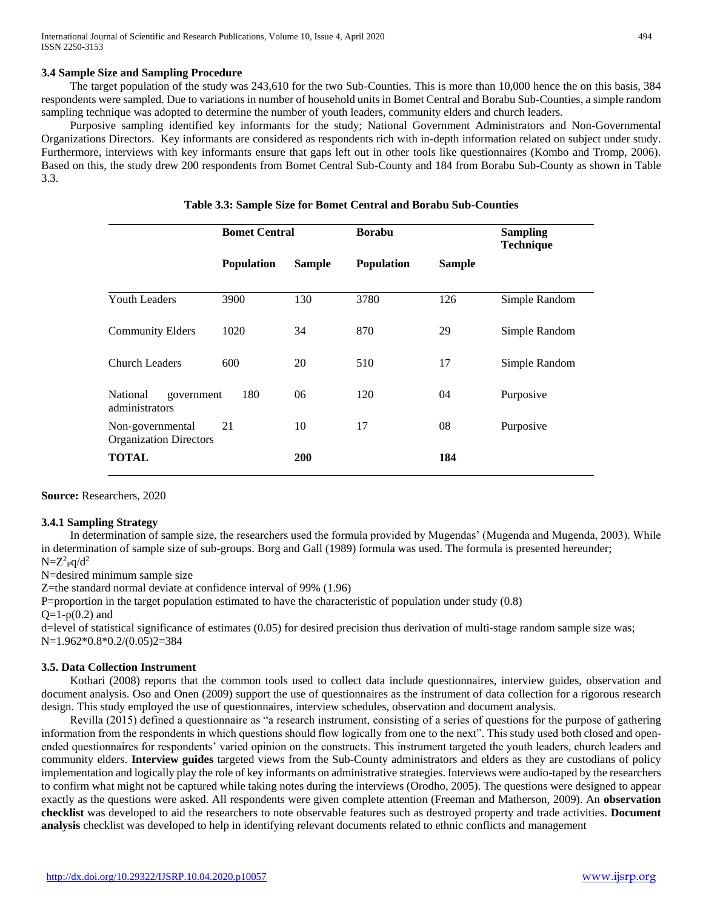## **3.4 Sample Size and Sampling Procedure**

 The target population of the study was 243,610 for the two Sub-Counties. This is more than 10,000 hence the on this basis, 384 respondents were sampled. Due to variations in number of household units in Bomet Central and Borabu Sub-Counties, a simple random sampling technique was adopted to determine the number of youth leaders, community elders and church leaders.

 Purposive sampling identified key informants for the study; National Government Administrators and Non-Governmental Organizations Directors. Key informants are considered as respondents rich with in-depth information related on subject under study. Furthermore, interviews with key informants ensure that gaps left out in other tools like questionnaires (Kombo and Tromp, 2006). Based on this, the study drew 200 respondents from Bomet Central Sub-County and 184 from Borabu Sub-County as shown in Table 3.3.

|                                                   | <b>Bomet Central</b> |               | <b>Borabu</b>     |               | <b>Sampling</b><br><b>Technique</b> |
|---------------------------------------------------|----------------------|---------------|-------------------|---------------|-------------------------------------|
|                                                   | <b>Population</b>    | <b>Sample</b> | <b>Population</b> | <b>Sample</b> |                                     |
|                                                   |                      |               |                   |               |                                     |
| <b>Youth Leaders</b>                              | 3900                 | 130           | 3780              | 126           | Simple Random                       |
| <b>Community Elders</b>                           | 1020                 | 34            | 870               | 29            | Simple Random                       |
| <b>Church Leaders</b>                             | 600                  | 20            | 510               | 17            | Simple Random                       |
| National<br>government<br>administrators          | 180                  | 06            | 120               | 04            | Purposive                           |
| Non-governmental<br><b>Organization Directors</b> | 21                   | 10            | 17                | 08            | Purposive                           |
| <b>TOTAL</b>                                      |                      | <b>200</b>    |                   | 184           |                                     |

**Table 3.3: Sample Size for Bomet Central and Borabu Sub-Counties**

**Source:** Researchers, 2020

#### **3.4.1 Sampling Strategy**

 In determination of sample size, the researchers used the formula provided by Mugendas' (Mugenda and Mugenda, 2003). While in determination of sample size of sub-groups. Borg and Gall (1989) formula was used. The formula is presented hereunder;  $N = Z^2 \cdot \text{pq}/d^2$ 

N=desired minimum sample size

Z=the standard normal deviate at confidence interval of 99% (1.96)

P=proportion in the target population estimated to have the characteristic of population under study (0.8)

 $Q=1-p(0.2)$  and

d=level of statistical significance of estimates (0.05) for desired precision thus derivation of multi-stage random sample size was; N=1.962\*0.8\*0.2/(0.05)2=384

#### **3.5. Data Collection Instrument**

 Kothari (2008) reports that the common tools used to collect data include questionnaires, interview guides, observation and document analysis. Oso and Onen (2009) support the use of questionnaires as the instrument of data collection for a rigorous research design. This study employed the use of questionnaires, interview schedules, observation and document analysis.

 Revilla (2015) defined a questionnaire as "a research instrument, consisting of a series of questions for the purpose of gathering information from the respondents in which questions should flow logically from one to the next". This study used both closed and openended questionnaires for respondents' varied opinion on the constructs. This instrument targeted the youth leaders, church leaders and community elders. **Interview guides** targeted views from the Sub-County administrators and elders as they are custodians of policy implementation and logically play the role of key informants on administrative strategies. Interviews were audio-taped by the researchers to confirm what might not be captured while taking notes during the interviews (Orodho, 2005). The questions were designed to appear exactly as the questions were asked. All respondents were given complete attention (Freeman and Matherson, 2009). An **observation checklist** was developed to aid the researchers to note observable features such as destroyed property and trade activities. **Document analysis** checklist was developed to help in identifying relevant documents related to ethnic conflicts and management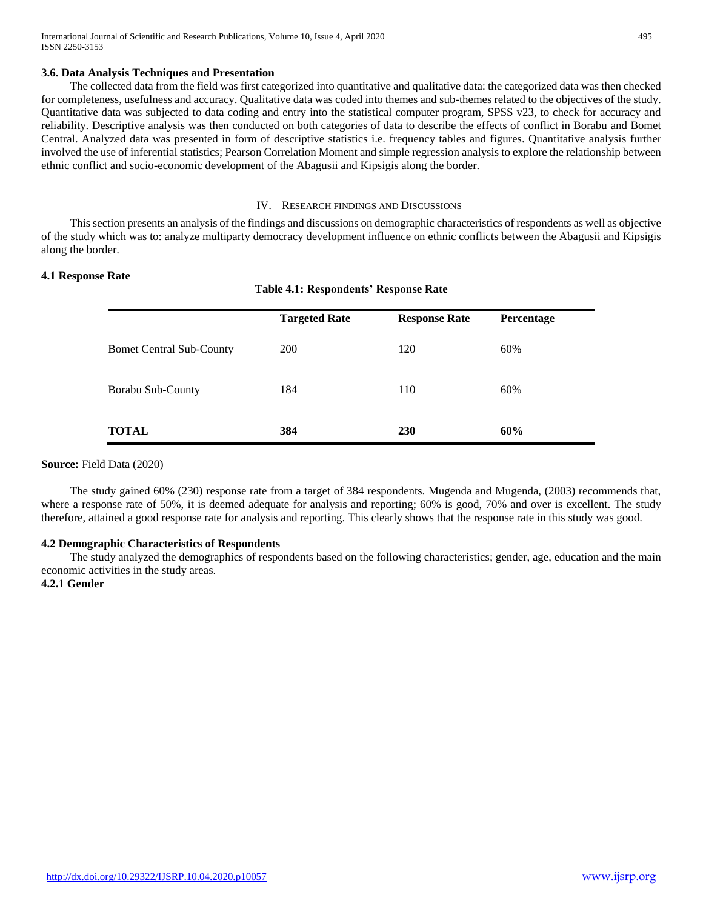#### **3.6. Data Analysis Techniques and Presentation**

 The collected data from the field was first categorized into quantitative and qualitative data: the categorized data was then checked for completeness, usefulness and accuracy. Qualitative data was coded into themes and sub-themes related to the objectives of the study. Quantitative data was subjected to data coding and entry into the statistical computer program, SPSS v23, to check for accuracy and reliability. Descriptive analysis was then conducted on both categories of data to describe the effects of conflict in Borabu and Bomet Central. Analyzed data was presented in form of descriptive statistics i.e. frequency tables and figures. Quantitative analysis further involved the use of inferential statistics; Pearson Correlation Moment and simple regression analysis to explore the relationship between ethnic conflict and socio-economic development of the Abagusii and Kipsigis along the border.

#### IV. RESEARCH FINDINGS AND DISCUSSIONS

 This section presents an analysis of the findings and discussions on demographic characteristics of respondents as well as objective of the study which was to: analyze multiparty democracy development influence on ethnic conflicts between the Abagusii and Kipsigis along the border.

**Table 4.1: Respondents' Response Rate**

#### **4.1 Response Rate**

|                                 | <b>Targeted Rate</b> | <b>Response Rate</b> | Percentage |
|---------------------------------|----------------------|----------------------|------------|
| <b>Bomet Central Sub-County</b> | 200                  | 120                  | 60%        |
| Borabu Sub-County               | 184                  | 110                  | 60%        |
| <b>TOTAL</b>                    | 384                  | <b>230</b>           | 60%        |

#### **Source:** Field Data (2020)

 The study gained 60% (230) response rate from a target of 384 respondents. Mugenda and Mugenda, (2003) recommends that, where a response rate of 50%, it is deemed adequate for analysis and reporting; 60% is good, 70% and over is excellent. The study therefore, attained a good response rate for analysis and reporting. This clearly shows that the response rate in this study was good.

#### **4.2 Demographic Characteristics of Respondents**

 The study analyzed the demographics of respondents based on the following characteristics; gender, age, education and the main economic activities in the study areas.

#### **4.2.1 Gender**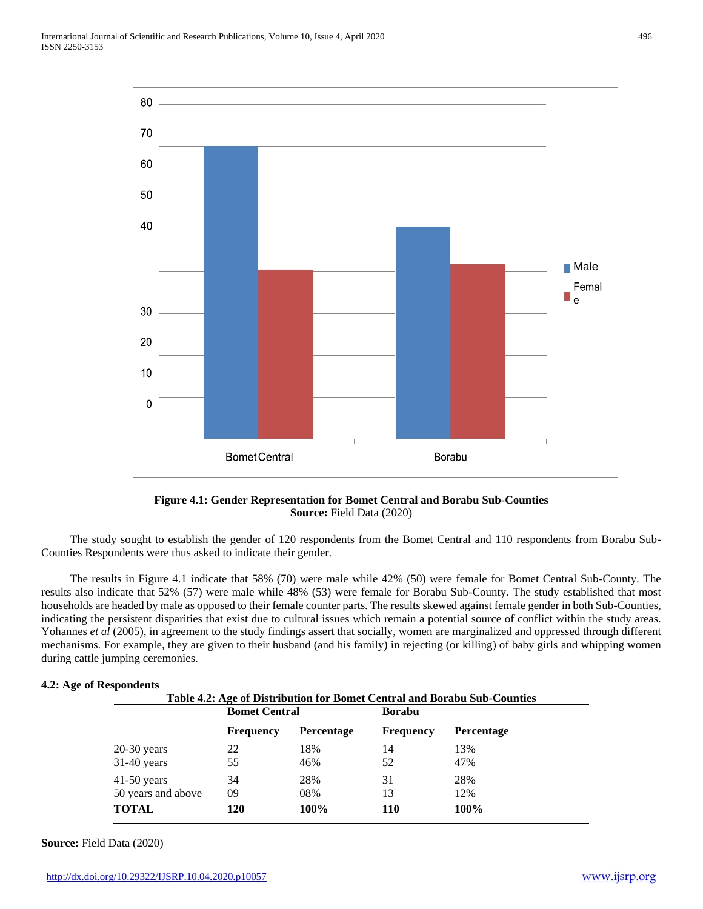

**Figure 4.1: Gender Representation for Bomet Central and Borabu Sub-Counties Source:** Field Data (2020)

 The study sought to establish the gender of 120 respondents from the Bomet Central and 110 respondents from Borabu Sub-Counties Respondents were thus asked to indicate their gender.

 The results in Figure 4.1 indicate that 58% (70) were male while 42% (50) were female for Bomet Central Sub-County. The results also indicate that 52% (57) were male while 48% (53) were female for Borabu Sub-County. The study established that most households are headed by male as opposed to their female counter parts. The results skewed against female gender in both Sub-Counties, indicating the persistent disparities that exist due to cultural issues which remain a potential source of conflict within the study areas. Yohannes *et al* (2005), in agreement to the study findings assert that socially, women are marginalized and oppressed through different mechanisms. For example, they are given to their husband (and his family) in rejecting (or killing) of baby girls and whipping women during cattle jumping ceremonies.

#### **4.2: Age of Respondents**

|                                     | Table 4.2: Age of Distribution for Bomet Central and Borabu Sub-Counties<br><b>Bomet Central</b> |                   | Borabu           |                   |
|-------------------------------------|--------------------------------------------------------------------------------------------------|-------------------|------------------|-------------------|
|                                     | <b>Frequency</b>                                                                                 | <b>Percentage</b> | <b>Frequency</b> | <b>Percentage</b> |
| $20-30$ years                       | 22                                                                                               | 18%               | 14               | 13%               |
| $31-40$ years                       | 55                                                                                               | 46%               | 52               | 47%               |
| $41-50$ years<br>50 years and above | 34<br>09                                                                                         | 28%<br>08%        | 31<br>13         | 28%<br>12%        |
| <b>TOTAL</b>                        | 120                                                                                              | 100%              | <b>110</b>       | 100%              |

**Source:** Field Data (2020)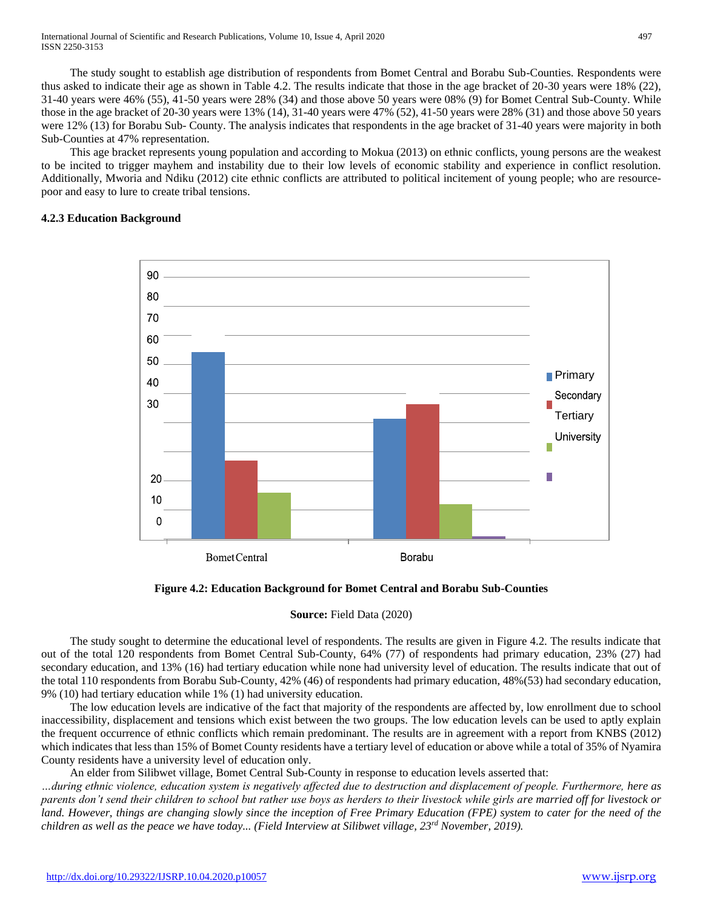The study sought to establish age distribution of respondents from Bomet Central and Borabu Sub-Counties. Respondents were thus asked to indicate their age as shown in Table 4.2. The results indicate that those in the age bracket of 20-30 years were 18% (22), 31-40 years were 46% (55), 41-50 years were 28% (34) and those above 50 years were 08% (9) for Bomet Central Sub-County. While those in the age bracket of 20-30 years were 13% (14), 31-40 years were 47% (52), 41-50 years were 28% (31) and those above 50 years were 12% (13) for Borabu Sub- County. The analysis indicates that respondents in the age bracket of 31-40 years were majority in both Sub-Counties at 47% representation.

 This age bracket represents young population and according to Mokua (2013) on ethnic conflicts, young persons are the weakest to be incited to trigger mayhem and instability due to their low levels of economic stability and experience in conflict resolution. Additionally, Mworia and Ndiku (2012) cite ethnic conflicts are attributed to political incitement of young people; who are resourcepoor and easy to lure to create tribal tensions.

## **4.2.3 Education Background**



**Figure 4.2: Education Background for Bomet Central and Borabu Sub-Counties**

**Source:** Field Data (2020)

 The study sought to determine the educational level of respondents. The results are given in Figure 4.2. The results indicate that out of the total 120 respondents from Bomet Central Sub-County, 64% (77) of respondents had primary education, 23% (27) had secondary education, and 13% (16) had tertiary education while none had university level of education. The results indicate that out of the total 110 respondents from Borabu Sub-County, 42% (46) of respondents had primary education, 48%(53) had secondary education, 9% (10) had tertiary education while 1% (1) had university education.

 The low education levels are indicative of the fact that majority of the respondents are affected by, low enrollment due to school inaccessibility, displacement and tensions which exist between the two groups. The low education levels can be used to aptly explain the frequent occurrence of ethnic conflicts which remain predominant. The results are in agreement with a report from KNBS (2012) which indicates that less than 15% of Bomet County residents have a tertiary level of education or above while a total of 35% of Nyamira County residents have a university level of education only.

An elder from Silibwet village, Bomet Central Sub-County in response to education levels asserted that:

*…during ethnic violence, education system is negatively affected due to destruction and displacement of people. Furthermore, here as parents don't send their children to school but rather use boys as herders to their livestock while girls are married off for livestock or land. However, things are changing slowly since the inception of Free Primary Education (FPE) system to cater for the need of the children as well as the peace we have today... (Field Interview at Silibwet village, 23rd November, 2019).*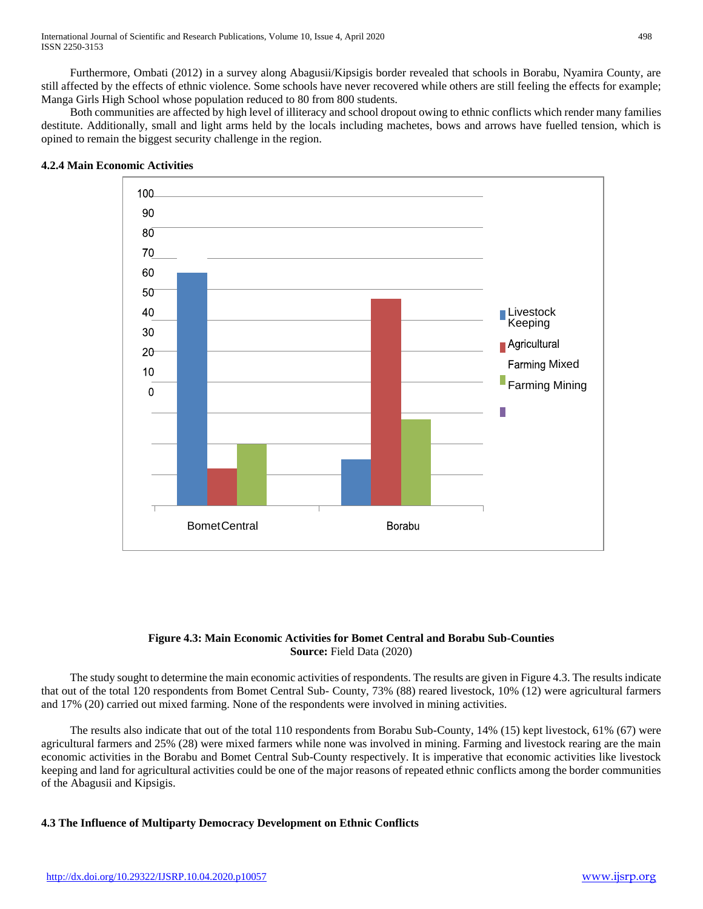Furthermore, Ombati (2012) in a survey along Abagusii/Kipsigis border revealed that schools in Borabu, Nyamira County, are still affected by the effects of ethnic violence. Some schools have never recovered while others are still feeling the effects for example; Manga Girls High School whose population reduced to 80 from 800 students.

 Both communities are affected by high level of illiteracy and school dropout owing to ethnic conflicts which render many families destitute. Additionally, small and light arms held by the locals including machetes, bows and arrows have fuelled tension, which is opined to remain the biggest security challenge in the region.



#### **4.2.4 Main Economic Activities**

## **Figure 4.3: Main Economic Activities for Bomet Central and Borabu Sub-Counties Source:** Field Data (2020)

 The study sought to determine the main economic activities of respondents. The results are given in Figure 4.3. The results indicate that out of the total 120 respondents from Bomet Central Sub- County, 73% (88) reared livestock, 10% (12) were agricultural farmers and 17% (20) carried out mixed farming. None of the respondents were involved in mining activities.

 The results also indicate that out of the total 110 respondents from Borabu Sub-County, 14% (15) kept livestock, 61% (67) were agricultural farmers and 25% (28) were mixed farmers while none was involved in mining. Farming and livestock rearing are the main economic activities in the Borabu and Bomet Central Sub-County respectively. It is imperative that economic activities like livestock keeping and land for agricultural activities could be one of the major reasons of repeated ethnic conflicts among the border communities of the Abagusii and Kipsigis.

# **4.3 The Influence of Multiparty Democracy Development on Ethnic Conflicts**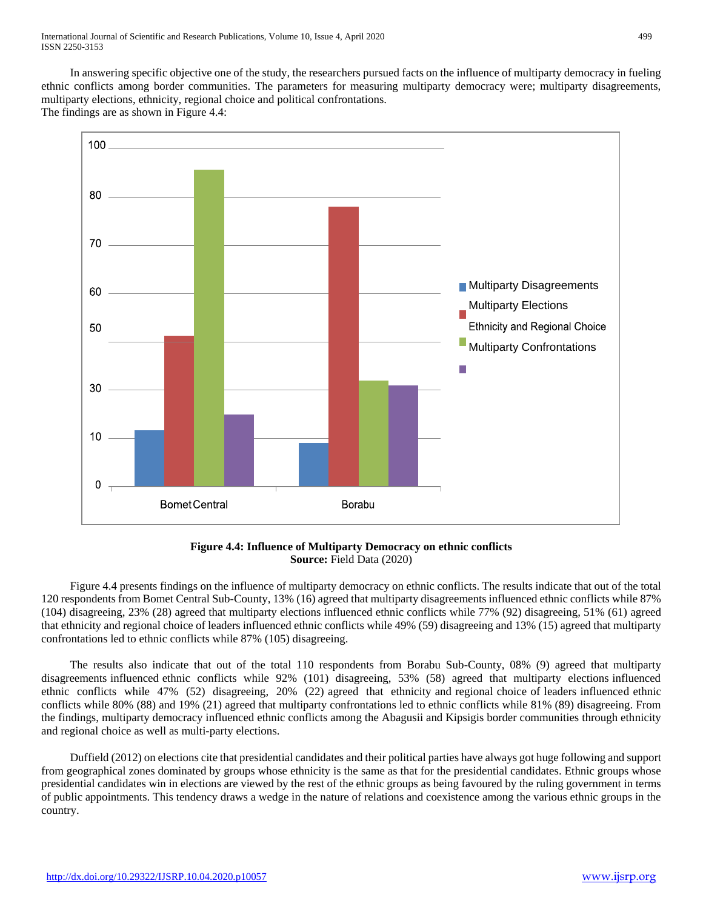In answering specific objective one of the study, the researchers pursued facts on the influence of multiparty democracy in fueling ethnic conflicts among border communities. The parameters for measuring multiparty democracy were; multiparty disagreements, multiparty elections, ethnicity, regional choice and political confrontations. The findings are as shown in Figure 4.4:





 Figure 4.4 presents findings on the influence of multiparty democracy on ethnic conflicts. The results indicate that out of the total 120 respondents from Bomet Central Sub-County, 13% (16) agreed that multiparty disagreements influenced ethnic conflicts while 87% (104) disagreeing, 23% (28) agreed that multiparty elections influenced ethnic conflicts while 77% (92) disagreeing, 51% (61) agreed that ethnicity and regional choice of leaders influenced ethnic conflicts while 49% (59) disagreeing and 13% (15) agreed that multiparty confrontations led to ethnic conflicts while 87% (105) disagreeing.

 The results also indicate that out of the total 110 respondents from Borabu Sub-County, 08% (9) agreed that multiparty disagreements influenced ethnic conflicts while 92% (101) disagreeing, 53% (58) agreed that multiparty elections influenced ethnic conflicts while 47% (52) disagreeing, 20% (22) agreed that ethnicity and regional choice of leaders influenced ethnic conflicts while 80% (88) and 19% (21) agreed that multiparty confrontations led to ethnic conflicts while 81% (89) disagreeing. From the findings, multiparty democracy influenced ethnic conflicts among the Abagusii and Kipsigis border communities through ethnicity and regional choice as well as multi-party elections.

 Duffield (2012) on elections cite that presidential candidates and their political parties have always got huge following and support from geographical zones dominated by groups whose ethnicity is the same as that for the presidential candidates. Ethnic groups whose presidential candidates win in elections are viewed by the rest of the ethnic groups as being favoured by the ruling government in terms of public appointments. This tendency draws a wedge in the nature of relations and coexistence among the various ethnic groups in the country.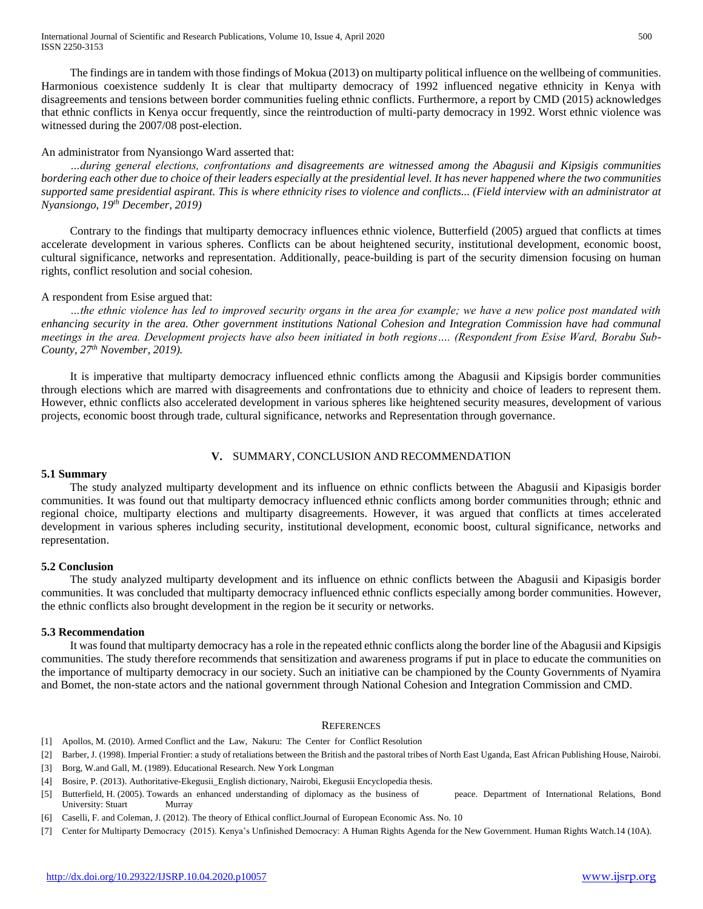The findings are in tandem with those findings of Mokua (2013) on multiparty political influence on the wellbeing of communities. Harmonious coexistence suddenly It is clear that multiparty democracy of 1992 influenced negative ethnicity in Kenya with disagreements and tensions between border communities fueling ethnic conflicts. Furthermore, a report by CMD (2015) acknowledges that ethnic conflicts in Kenya occur frequently, since the reintroduction of multi-party democracy in 1992. Worst ethnic violence was witnessed during the 2007/08 post-election.

## An administrator from Nyansiongo Ward asserted that:

 *…during general elections, confrontations and disagreements are witnessed among the Abagusii and Kipsigis communities bordering each other due to choice of their leaders especially at the presidential level. It has never happened where the two communities supported same presidential aspirant. This is where ethnicity rises to violence and conflicts... (Field interview with an administrator at Nyansiongo, 19th December, 2019)*

 Contrary to the findings that multiparty democracy influences ethnic violence, Butterfield (2005) argued that conflicts at times accelerate development in various spheres. Conflicts can be about heightened security, institutional development, economic boost, cultural significance, networks and representation. Additionally, peace-building is part of the security dimension focusing on human rights, conflict resolution and social cohesion.

## A respondent from Esise argued that:

 *…the ethnic violence has led to improved security organs in the area for example; we have a new police post mandated with enhancing security in the area. Other government institutions National Cohesion and Integration Commission have had communal meetings in the area. Development projects have also been initiated in both regions…. (Respondent from Esise Ward, Borabu Sub-County, 27th November, 2019).*

 It is imperative that multiparty democracy influenced ethnic conflicts among the Abagusii and Kipsigis border communities through elections which are marred with disagreements and confrontations due to ethnicity and choice of leaders to represent them. However, ethnic conflicts also accelerated development in various spheres like heightened security measures, development of various projects, economic boost through trade, cultural significance, networks and Representation through governance.

# **V.** SUMMARY, CONCLUSION AND RECOMMENDATION

#### **5.1 Summary**

 The study analyzed multiparty development and its influence on ethnic conflicts between the Abagusii and Kipasigis border communities. It was found out that multiparty democracy influenced ethnic conflicts among border communities through; ethnic and regional choice, multiparty elections and multiparty disagreements. However, it was argued that conflicts at times accelerated development in various spheres including security, institutional development, economic boost, cultural significance, networks and representation.

#### **5.2 Conclusion**

 The study analyzed multiparty development and its influence on ethnic conflicts between the Abagusii and Kipasigis border communities. It was concluded that multiparty democracy influenced ethnic conflicts especially among border communities. However, the ethnic conflicts also brought development in the region be it security or networks.

#### **5.3 Recommendation**

 It was found that multiparty democracy has a role in the repeated ethnic conflicts along the border line of the Abagusii and Kipsigis communities. The study therefore recommends that sensitization and awareness programs if put in place to educate the communities on the importance of multiparty democracy in our society. Such an initiative can be championed by the County Governments of Nyamira and Bomet, the non-state actors and the national government through National Cohesion and Integration Commission and CMD.

#### **REFERENCES**

- [1] Apollos, M. (2010). Armed Conflict and the Law, Nakuru: The Center for Conflict Resolution
- [2] Barber, J. (1998). Imperial Frontier: a study of retaliations between the British and the pastoral tribes of North East Uganda, East African Publishing House, Nairobi.
- [3] Borg, W.and Gall, M. (1989). Educational Research. New York Longman
- [4] Bosire, P. (2013). Authoritative-Ekegusii\_English dictionary, Nairobi, Ekegusii Encyclopedia thesis.
- [5] Butterfield, H. (2005). Towards an enhanced understanding of diplomacy as the business of peace. Department of International Relations, Bond University: Stuart Murray
- [6] Caselli, F. and Coleman, J. (2012). The theory of Ethical conflict.Journal of European Economic Ass. No. 10
- [7] Center for Multiparty Democracy (2015). Kenya's Unfinished Democracy: A Human Rights Agenda for the New Government. Human Rights Watch.14 (10A).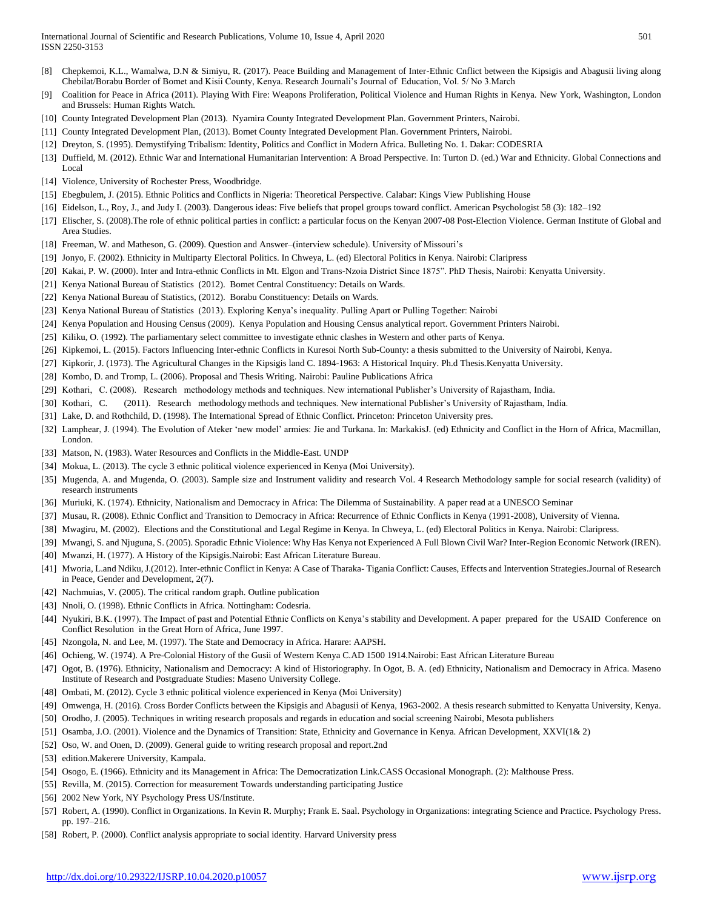- [8] Chepkemoi, K.L., Wamalwa, D.N & Simiyu, R. (2017). Peace Building and Management of Inter-Ethnic Cnflict between the Kipsigis and Abagusii living along Chebilat/Borabu Border of Bomet and Kisii County, Kenya. Research Journali's Journal of Education, Vol. 5/ No 3.March
- [9] Coalition for Peace in Africa (2011). Playing With Fire: Weapons Proliferation, Political Violence and Human Rights in Kenya. New York, Washington, London and Brussels: Human Rights Watch.
- [10] County Integrated Development Plan (2013). Nyamira County Integrated Development Plan. Government Printers, Nairobi.
- [11] County Integrated Development Plan, (2013). Bomet County Integrated Development Plan. Government Printers, Nairobi.
- [12] Dreyton, S. (1995). Demystifying Tribalism: Identity, Politics and Conflict in Modern Africa. Bulleting No. 1. Dakar: CODESRIA
- [13] Duffield, M. (2012). Ethnic War and International Humanitarian Intervention: A Broad Perspective. In: Turton D. (ed.) War and Ethnicity. Global Connections and Local
- [14] Violence, University of Rochester Press, Woodbridge.
- [15] Ebegbulem, J. (2015). Ethnic Politics and Conflicts in Nigeria: Theoretical Perspective. Calabar: Kings View Publishing House
- [16] Eidelson, L., Roy, J., and Judy I. (2003). Dangerous ideas: Five beliefs that propel groups toward conflict. American Psychologist 58 (3): 182–192
- [17] Elischer, S. (2008).The role of ethnic political parties in conflict: a particular focus on the Kenyan 2007-08 Post-Election Violence. German Institute of Global and Area Studies.
- [18] Freeman, W. and Matheson, G. (2009). Question and Answer–(interview schedule). University of Missouri's
- [19] Jonyo, F. (2002). Ethnicity in Multiparty Electoral Politics. In Chweya, L. (ed) Electoral Politics in Kenya. Nairobi: Claripress
- [20] Kakai, P. W. (2000). Inter and Intra-ethnic Conflicts in Mt. Elgon and Trans-Nzoia District Since 1875". PhD Thesis, Nairobi: Kenyatta University.
- [21] Kenya National Bureau of Statistics (2012). Bomet Central Constituency: Details on Wards.
- [22] Kenya National Bureau of Statistics, (2012). Borabu Constituency: Details on Wards.
- [23] Kenya National Bureau of Statistics (2013). Exploring Kenya's inequality. Pulling Apart or Pulling Together: Nairobi
- [24] Kenya Population and Housing Census (2009). Kenya Population and Housing Census analytical report. Government Printers Nairobi.
- [25] Kiliku, O. (1992). The parliamentary select committee to investigate ethnic clashes in Western and other parts of Kenya.
- [26] Kipkemoi, L. (2015). Factors Influencing Inter-ethnic Conflicts in Kuresoi North Sub-County: a thesis submitted to the University of Nairobi, Kenya.
- [27] Kipkorir, J. (1973). The Agricultural Changes in the Kipsigis land C. 1894-1963: A Historical Inquiry. Ph.d Thesis.Kenyatta University.
- [28] Kombo, D. and Tromp, L. (2006). Proposal and Thesis Writing. Nairobi: Pauline Publications Africa
- [29] Kothari, C. (2008). Research methodology methods and techniques. New international Publisher's University of Rajastham, India.
- [30] Kothari, C. (2011). Research methodologymethods and techniques. New international Publisher's University of Rajastham, India.
- [31] Lake, D. and Rothchild, D. (1998). The International Spread of Ethnic Conflict. Princeton: Princeton University pres.
- [32] Lamphear, J. (1994). The Evolution of Ateker 'new model' armies: Jie and Turkana. In: MarkakisJ. (ed) Ethnicity and Conflict in the Horn of Africa, Macmillan, London.
- [33] Matson, N. (1983). Water Resources and Conflicts in the Middle-East. UNDP
- [34] Mokua, L. (2013). The cycle 3 ethnic political violence experienced in Kenya (Moi University).
- [35] Mugenda, A. and Mugenda, O. (2003). Sample size and Instrument validity and research Vol. 4 Research Methodology sample for social research (validity) of research instruments
- [36] Muriuki, K. (1974). Ethnicity, Nationalism and Democracy in Africa: The Dilemma of Sustainability. A paper read at a UNESCO Seminar
- [37] Musau, R. (2008). Ethnic Conflict and Transition to Democracy in Africa: Recurrence of Ethnic Conflicts in Kenya (1991-2008), University of Vienna.
- [38] Mwagiru, M. (2002). Elections and the Constitutional and Legal Regime in Kenya. In Chweya, L. (ed) Electoral Politics in Kenya. Nairobi: Claripress.
- [39] Mwangi, S. and Njuguna, S. (2005). Sporadic Ethnic Violence: Why Has Kenya not Experienced A Full Blown Civil War? Inter-Region Economic Network (IREN).
- [40] Mwanzi, H. (1977). A History of the Kipsigis.Nairobi: East African Literature Bureau.
- [41] Mworia, L.and Ndiku, J.(2012). Inter-ethnic Conflict in Kenya: A Case of Tharaka- Tigania Conflict: Causes, Effects and Intervention Strategies.Journal of Research in Peace, Gender and Development, 2(7).
- [42] Nachmuias, V. (2005). The critical random graph. Outline publication
- [43] Nnoli, O. (1998). Ethnic Conflicts in Africa. Nottingham: Codesria.
- [44] Nyukiri, B.K. (1997). The Impact of past and Potential Ethnic Conflicts on Kenya's stability and Development. A paper prepared for the USAID Conference on Conflict Resolution in the Great Horn of Africa, June 1997.
- [45] Nzongola, N. and Lee, M. (1997). The State and Democracy in Africa. Harare: AAPSH.
- [46] Ochieng, W. (1974). A Pre-Colonial History of the Gusii of Western Kenya C.AD 1500 1914.Nairobi: East African Literature Bureau
- [47] Ogot, B. (1976). Ethnicity, Nationalism and Democracy: A kind of Historiography. In Ogot, B. A. (ed) Ethnicity, Nationalism and Democracy in Africa. Maseno Institute of Research and Postgraduate Studies: Maseno University College.
- [48] Ombati, M. (2012). Cycle 3 ethnic political violence experienced in Kenya (Moi University)
- [49] Omwenga, H. (2016). Cross Border Conflicts between the Kipsigis and Abagusii of Kenya, 1963-2002. A thesis research submitted to Kenyatta University, Kenya.
- [50] Orodho, J. (2005). Techniques in writing research proposals and regards in education and social screening Nairobi, Mesota publishers
- [51] Osamba, J.O. (2001). Violence and the Dynamics of Transition: State, Ethnicity and Governance in Kenya. African Development, XXVI(1& 2)
- [52] Oso, W. and Onen, D. (2009). General guide to writing research proposal and report.2nd
- [53] edition.Makerere University, Kampala.
- [54] Osogo, E. (1966). Ethnicity and its Management in Africa: The Democratization Link.CASS Occasional Monograph. (2): Malthouse Press.
- [55] Revilla, M. (2015). Correction for measurement Towards understanding participating Justice
- [56] 2002 New York, NY Psychology Press US/Institute.
- [57] Robert, A. (1990). Conflict in Organizations. In Kevin R. Murphy; Frank E. Saal. Psychology in Organizations: integrating Science and Practice. Psychology Press. pp. 197–216.
- [58] Robert, P. (2000). Conflict analysis appropriate to social identity. Harvard University press